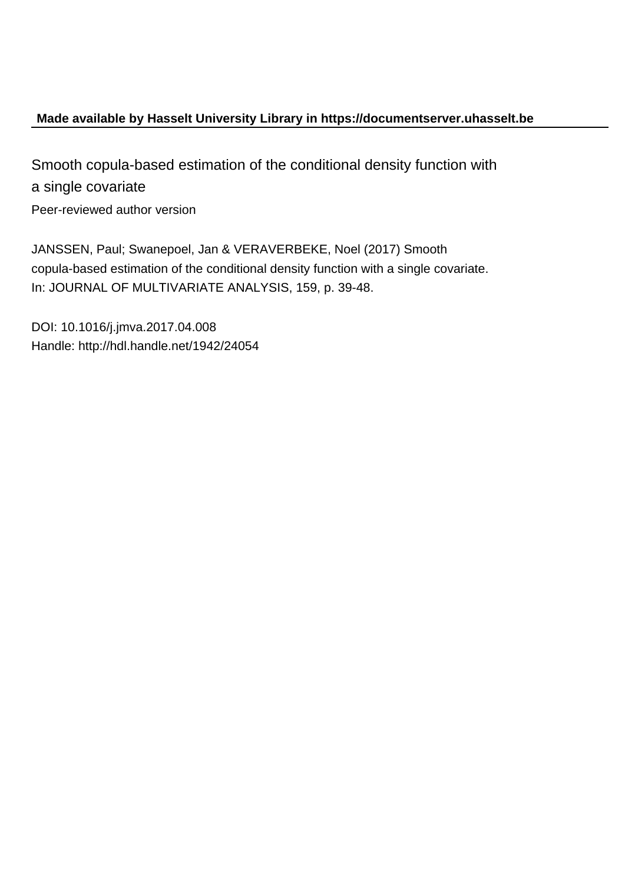# **Made available by Hasselt University Library in https://documentserver.uhasselt.be**

Smooth copula-based estimation of the conditional density function with a single covariate Peer-reviewed author version

JANSSEN, Paul; Swanepoel, Jan & VERAVERBEKE, Noel (2017) Smooth copula-based estimation of the conditional density function with a single covariate. In: JOURNAL OF MULTIVARIATE ANALYSIS, 159, p. 39-48.

DOI: 10.1016/j.jmva.2017.04.008 Handle: http://hdl.handle.net/1942/24054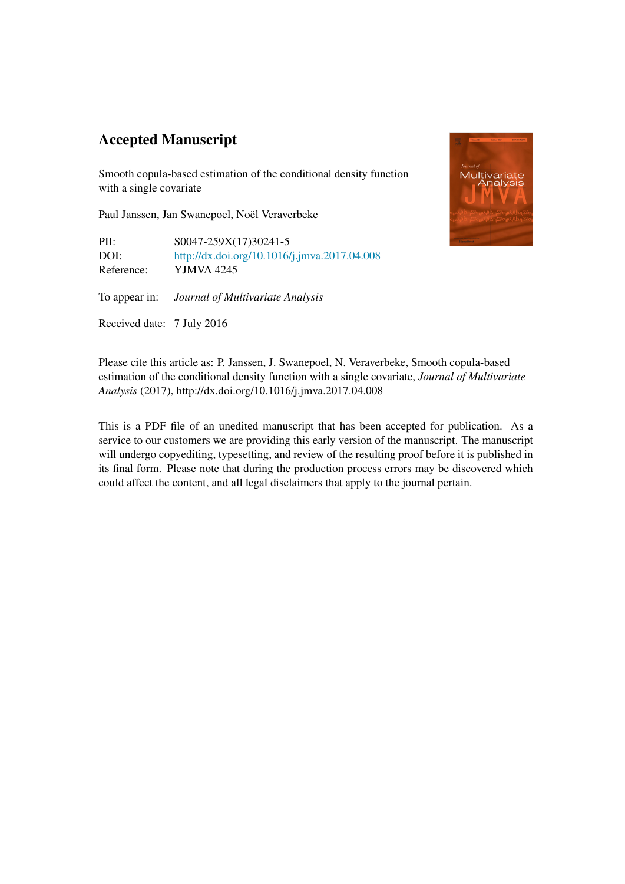# Accepted Manuscript

Smooth copula-based estimation of the conditional density function with a single covariate

Paul Janssen, Jan Swanepoel, Noël Veraverbeke

PII:  $S0047-259X(17)30241-5$ DOI: <http://dx.doi.org/10.1016/j.jmva.2017.04.008> Reference: YJMVA 4245

To appear in: *Journal of Multivariate Analysis*

Received date: 7 July 2016



Please cite this article as: P. Janssen, J. Swanepoel, N. Veraverbeke, Smooth copula-based estimation of the conditional density function with a single covariate, *Journal of Multivariate Analysis* (2017), http://dx.doi.org/10.1016/j.jmva.2017.04.008

This is a PDF file of an unedited manuscript that has been accepted for publication. As a service to our customers we are providing this early version of the manuscript. The manuscript will undergo copyediting, typesetting, and review of the resulting proof before it is published in its final form. Please note that during the production process errors may be discovered which could affect the content, and all legal disclaimers that apply to the journal pertain.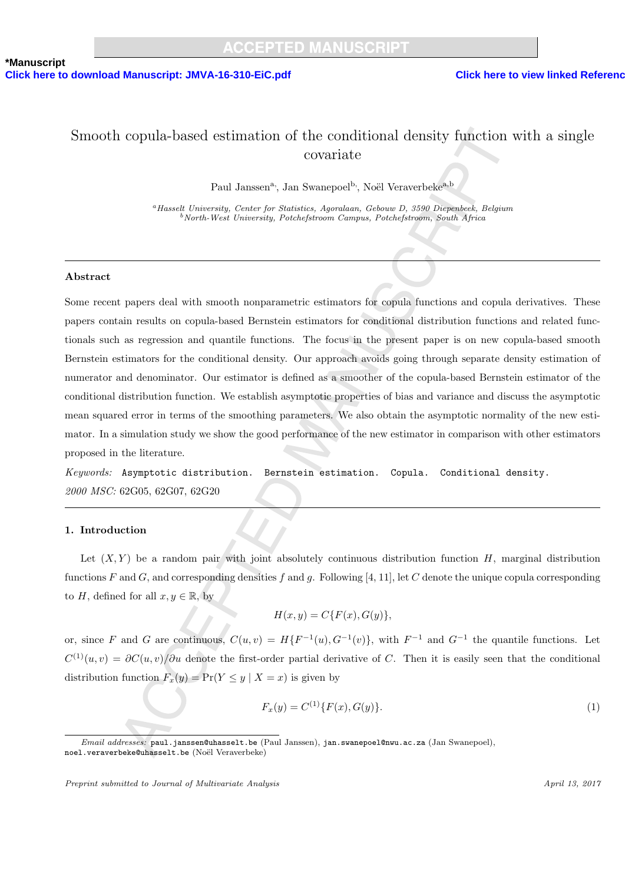# Smooth copula-based estimation of the conditional density function with a single covariate

Paul Janssen<sup>a</sup>, Jan Swanepoel<sup>b</sup>, Noël Veraverbeke<sup>a,b</sup>

<sup>a</sup>Hasselt University, Center for Statistics, Agoralaan, Gebouw D, 3590 Diepenbeek, Belgium  $^{b}$ North-West University, Potchefstroom Campus, Potchefstroom, South Africa

### Abstract

Some recent papers deal with smooth nonparametric estimators for copula functions and copula derivatives. These papers contain results on copula-based Bernstein estimators for conditional distribution functions and related functionals such as regression and quantile functions. The focus in the present paper is on new copula-based smooth Bernstein estimators for the conditional density. Our approach avoids going through separate density estimation of numerator and denominator. Our estimator is defined as a smoother of the copula-based Bernstein estimator of the conditional distribution function. We establish asymptotic properties of bias and variance and discuss the asymptotic mean squared error in terms of the smoothing parameters. We also obtain the asymptotic normality of the new estimator. In a simulation study we show the good performance of the new estimator in comparison with other estimators proposed in the literature.

Keywords: Asymptotic distribution. Bernstein estimation. Copula. Conditional density. 2000 MSC: 62G05, 62G07, 62G20

## 1. Introduction

Let  $(X, Y)$  be a random pair with joint absolutely continuous distribution function H, marginal distribution functions F and G, and corresponding densities f and g. Following [4, 11], let C denote the unique copula corresponding to H, defined for all  $x, y \in \mathbb{R}$ , by

$$
H(x,y) = C\{F(x), G(y)\},\
$$

or, since F and G are continuous,  $C(u, v) = H\{F^{-1}(u), G^{-1}(v)\}$ , with  $F^{-1}$  and  $G^{-1}$  the quantile functions. Let  $C^{(1)}(u, v) = \partial C(u, v)/\partial u$  denote the first-order partial derivative of C. Then it is easily seen that the conditional distribution function  $F_x(y) = \Pr(Y \le y | X = x)$  is given by

$$
F_x(y) = C^{(1)}\{F(x), G(y)\}.
$$
\n(1)

Email addresses: paul.janssen@uhasselt.be (Paul Janssen), jan.swanepoel@nwu.ac.za (Jan Swanepoel), noel.veraverbeke@uhasselt.be (Noël Veraverbeke)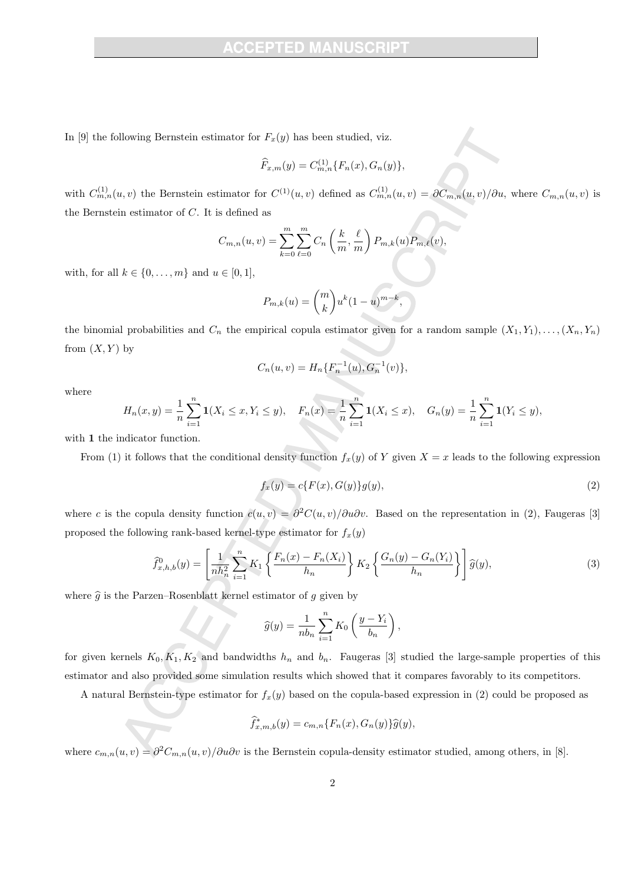In [9] the following Bernstein estimator for  $F_x(y)$  has been studied, viz.

$$
\widehat{F}_{x,m}(y) = C_{m,n}^{(1)}\{F_n(x), G_n(y)\},\,
$$

with  $C_{m,n}^{(1)}(u,v)$  the Bernstein estimator for  $C^{(1)}(u,v)$  defined as  $C_{m,n}^{(1)}(u,v) = \partial C_{m,n}(u,v)/\partial u$ , where  $C_{m,n}(u,v)$  is the Bernstein estimator of C. It is defined as

$$
C_{m,n}(u,v) = \sum_{k=0}^{m} \sum_{\ell=0}^{m} C_n \left(\frac{k}{m}, \frac{\ell}{m}\right) P_{m,k}(u) P_{m,\ell}(v),
$$

with, for all  $k \in \{0, \ldots, m\}$  and  $u \in [0, 1]$ ,

$$
P_{m,k}(u) = \binom{m}{k} u^k (1-u)^{m-k},
$$

the binomial probabilities and  $C_n$  the empirical copula estimator given for a random sample  $(X_1, Y_1), \ldots, (X_n, Y_n)$ from  $(X, Y)$  by

$$
C_n(u,v) = H_n\{F_n^{-1}(u), G_n^{-1}(v)\},\,
$$

where

$$
H_n(x,y) = \frac{1}{n} \sum_{i=1}^n \mathbf{1}(X_i \le x, Y_i \le y), \quad F_n(x) = \frac{1}{n} \sum_{i=1}^n \mathbf{1}(X_i \le x), \quad G_n(y) = \frac{1}{n} \sum_{i=1}^n \mathbf{1}(Y_i \le y),
$$

with 1 the indicator function.

From (1) it follows that the conditional density function  $f_x(y)$  of Y given  $X = x$  leads to the following expression

$$
f_x(y) = c\{F(x), G(y)\}g(y),\tag{2}
$$

where c is the copula density function  $c(u, v) = \frac{\partial^2 C(u, v)}{\partial u \partial v}$ . Based on the representation in (2), Faugeras [3] proposed the following rank-based kernel-type estimator for  $f_x(y)$ 

$$
\widehat{f}_{x,h,b}^{0}(y) = \left[\frac{1}{nh_n^2} \sum_{i=1}^n K_1 \left\{ \frac{F_n(x) - F_n(X_i)}{h_n} \right\} K_2 \left\{ \frac{G_n(y) - G_n(Y_i)}{h_n} \right\} \right] \widehat{g}(y),\tag{3}
$$

where  $\hat{g}$  is the Parzen–Rosenblatt kernel estimator of g given by

$$
\widehat{g}(y) = \frac{1}{nb_n} \sum_{i=1}^{n} K_0 \left( \frac{y - Y_i}{b_n} \right),
$$

for given kernels  $K_0, K_1, K_2$  and bandwidths  $h_n$  and  $b_n$ . Faugeras [3] studied the large-sample properties of this estimator and also provided some simulation results which showed that it compares favorably to its competitors.

A natural Bernstein-type estimator for  $f_x(y)$  based on the copula-based expression in (2) could be proposed as

$$
\widehat{f}_{x,m,b}^*(y) = c_{m,n} \{ F_n(x), G_n(y) \} \widehat{g}(y),
$$

where  $c_{m,n}(u, v) = \partial^2 C_{m,n}(u, v)/\partial u \partial v$  is the Bernstein copula-density estimator studied, among others, in [8].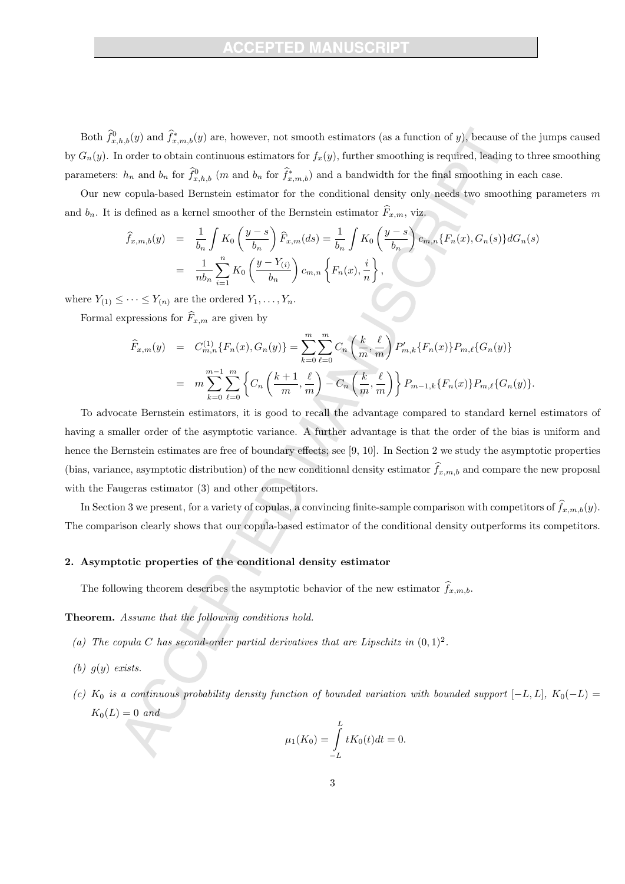Both  $\hat{f}_{x,h,b}^0(y)$  and  $\hat{f}_{x,m,b}^*(y)$  are, however, not smooth estimators (as a function of y), because of the jumps caused by  $G_n(y)$ . In order to obtain continuous estimators for  $f_x(y)$ , further smoothing is required, leading to three smoothing parameters:  $h_n$  and  $b_n$  for  $f_{x,h,b}^0$  (m and  $b_n$  for  $f_{x,m,b}^*$ ) and a bandwidth for the final smoothing in each case.

Our new copula-based Bernstein estimator for the conditional density only needs two smoothing parameters  $m$ and  $b_n$ . It is defined as a kernel smoother of the Bernstein estimator  $\hat{F}_{x,m}$ , viz.

$$
\begin{split}\n\widehat{f}_{x,m,b}(y) &= \frac{1}{b_n} \int K_0 \left( \frac{y-s}{b_n} \right) \widehat{F}_{x,m}(ds) = \frac{1}{b_n} \int K_0 \left( \frac{y-s}{b_n} \right) c_{m,n} \{ F_n(x), G_n(s) \} dG_n(s) \\
&= \frac{1}{nb_n} \sum_{i=1}^n K_0 \left( \frac{y-Y_{(i)}}{b_n} \right) c_{m,n} \left\{ F_n(x), \frac{i}{n} \right\},\n\end{split}
$$

where  $Y_{(1)} \leq \cdots \leq Y_{(n)}$  are the ordered  $Y_1, \ldots, Y_n$ .

Formal expressions for  $\widehat{F}_{x,m}$  are given by

$$
\widehat{F}_{x,m}(y) = C_{m,n}^{(1)}\{F_n(x), G_n(y)\} = \sum_{k=0}^m \sum_{\ell=0}^m C_n \left(\frac{k}{m}, \frac{\ell}{m}\right) P'_{m,k}\{F_n(x)\} P_{m,\ell}\{G_n(y)\}
$$
\n
$$
= m \sum_{k=0}^{m-1} \sum_{\ell=0}^m \left\{ C_n \left(\frac{k+1}{m}, \frac{\ell}{m}\right) - C_n \left(\frac{k}{m}, \frac{\ell}{m}\right) \right\} P_{m-1,k}\{F_n(x)\} P_{m,\ell}\{G_n(y)\}.
$$

To advocate Bernstein estimators, it is good to recall the advantage compared to standard kernel estimators of having a smaller order of the asymptotic variance. A further advantage is that the order of the bias is uniform and hence the Bernstein estimates are free of boundary effects; see [9, 10]. In Section 2 we study the asymptotic properties (bias, variance, asymptotic distribution) of the new conditional density estimator  $\hat{f}_{x,m,b}$  and compare the new proposal with the Faugeras estimator (3) and other competitors.

In Section 3 we present, for a variety of copulas, a convincing finite-sample comparison with competitors of  $\hat{f}_{x,m,b}(y)$ . The comparison clearly shows that our copula-based estimator of the conditional density outperforms its competitors.

### 2. Asymptotic properties of the conditional density estimator

The following theorem describes the asymptotic behavior of the new estimator  $\hat{f}_{x,m,b}$ .

Theorem. Assume that the following conditions hold.

- (a) The copula C has second-order partial derivatives that are Lipschitz in  $(0,1)^2$ .
- (b)  $q(y)$  exists.
- (c) K<sub>0</sub> is a continuous probability density function of bounded variation with bounded support  $[-L, L]$ , K<sub>0</sub> $(-L)$  =  $K_0(L) = 0$  and

$$
\mu_1(K_0) = \int_{-L}^{L} tK_0(t)dt = 0.
$$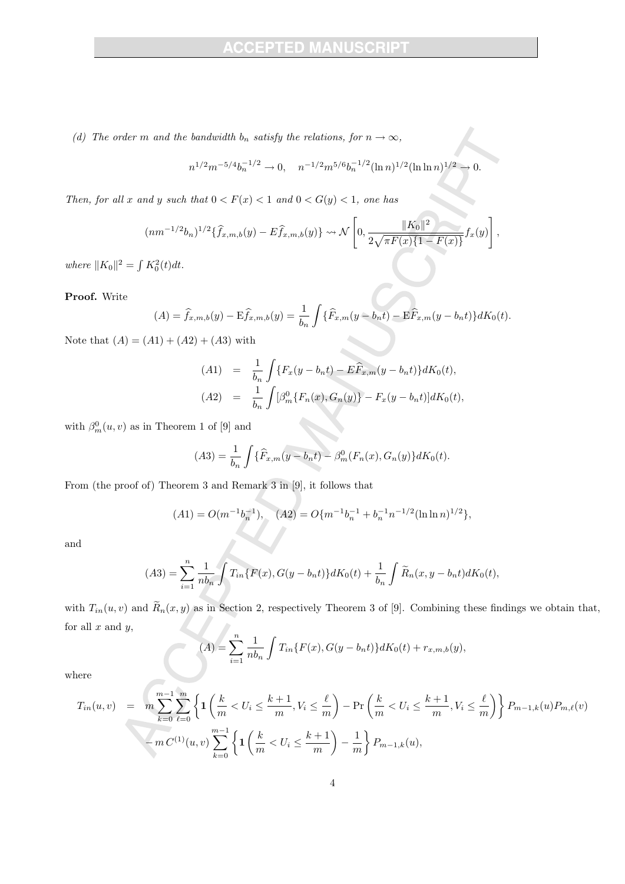(d) The order m and the bandwidth  $b_n$  satisfy the relations, for  $n \to \infty$ ,

$$
n^{1/2}m^{-5/4}b_n^{-1/2} \to 0, \quad n^{-1/2}m^{5/6}b_n^{-1/2}(\ln n)^{1/2}(\ln \ln n)^{1/2} \to 0.
$$

Then, for all x and y such that  $0 < F(x) < 1$  and  $0 < G(y) < 1$ , one has

$$
(nm^{-1/2}b_n)^{1/2}\{\widehat{f}_{x,m,b}(y) - E\widehat{f}_{x,m,b}(y)\} \rightsquigarrow \mathcal{N}\left[0, \frac{\|K_0\|^2}{2\sqrt{\pi F(x)\{1 - F(x)\}}}f_x(y)\right],
$$

where  $||K_0||^2 = \int K_0^2(t)dt$ .

## Proof. Write

$$
(A) = \hat{f}_{x,m,b}(y) - \mathbf{E}\hat{f}_{x,m,b}(y) = \frac{1}{b_n} \int {\{\hat{F}_{x,m}(y - b_n t) - \mathbf{E}\hat{F}_{x,m}(y - b_n t)\} dK_0(t)}.
$$

Note that  $(A) = (A1) + (A2) + (A3)$  with

$$
(A1) = \frac{1}{b_n} \int \{F_x(y - b_n t) - E\widehat{F}_{x,m}(y - b_n t)\} dK_0(t),
$$
  
\n
$$
(A2) = \frac{1}{b_n} \int [\beta_m^0 \{F_n(x), G_n(y)\} - F_x(y - b_n t)] dK_0(t),
$$

with  $\beta_m^0(u, v)$  as in Theorem 1 of [9] and

$$
(A3) = \frac{1}{b_n} \int \{ \widehat{F}_{x,m}(y - b_n t) - \beta_m^0(F_n(x), G_n(y)) \} dK_0(t).
$$

From (the proof of) Theorem 3 and Remark 3 in [9], it follows that

$$
(A1) = O(m^{-1}b_n^{-1}), \quad (A2) = O\{m^{-1}b_n^{-1} + b_n^{-1}n^{-1/2}(\ln \ln n)^{1/2}\},
$$

and

$$
(A3) = \sum_{i=1}^{n} \frac{1}{nb_n} \int T_{in} \{F(x), G(y-b_n t)\} dK_0(t) + \frac{1}{b_n} \int \widetilde{R}_n(x, y-b_n t) dK_0(t),
$$

with  $T_{in}(u, v)$  and  $\widetilde{R}_n(x, y)$  as in Section 2, respectively Theorem 3 of [9]. Combining these findings we obtain that, for all  $x$  and  $y$ ,  $\hat{\mathcal{L}}$ 

$$
(A) = \sum_{i=1}^{n} \frac{1}{nb_n} \int T_{in} \{F(x), G(y - b_n t)\} dK_0(t) + r_{x,m,b}(y),
$$

where

$$
T_{in}(u, v) = m \sum_{k=0}^{m-1} \sum_{\ell=0}^{m} \left\{ \mathbf{1} \left( \frac{k}{m} < U_i \le \frac{k+1}{m}, V_i \le \frac{\ell}{m} \right) - \Pr \left( \frac{k}{m} < U_i \le \frac{k+1}{m}, V_i \le \frac{\ell}{m} \right) \right\} P_{m-1,k}(u) P_{m,\ell}(v) - m C^{(1)}(u, v) \sum_{k=0}^{m-1} \left\{ \mathbf{1} \left( \frac{k}{m} < U_i \le \frac{k+1}{m} \right) - \frac{1}{m} \right\} P_{m-1,k}(u),
$$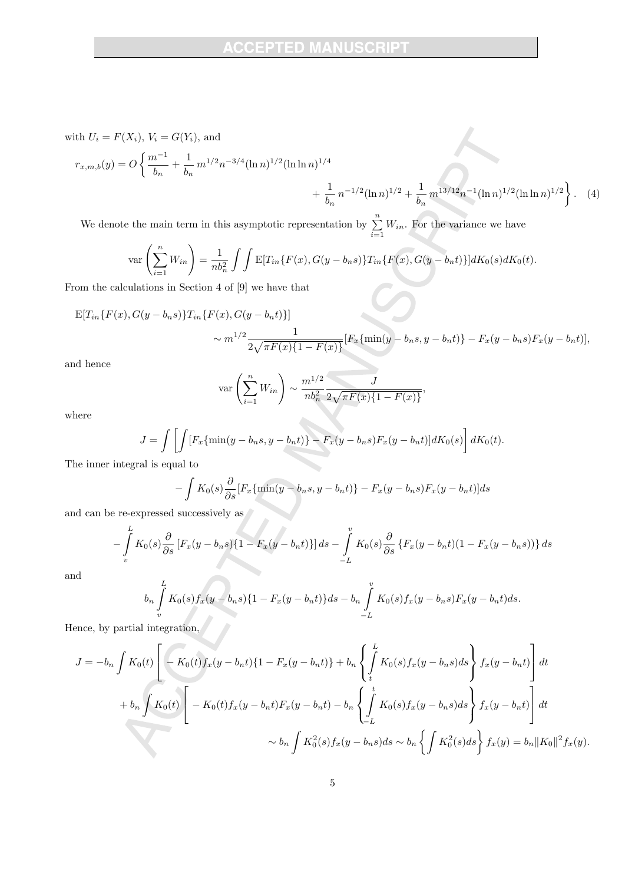with  $U_i = F(X_i)$ ,  $V_i = G(Y_i)$ , and

$$
r_{x,m,b}(y) = O\left\{\frac{m^{-1}}{b_n} + \frac{1}{b_n} m^{1/2} n^{-3/4} (\ln n)^{1/2} (\ln \ln n)^{1/4} + \frac{1}{b_n} n^{-1/2} (\ln n)^{1/2} + \frac{1}{b_n} m^{13/12} n^{-1} (\ln n)^{1/2} (\ln \ln n)^{1/2} \right\}.
$$
 (4)

We denote the main term in this asymptotic representation by  $\sum_{n=1}^n$  $\sum_{i=1} W_{in}$ . For the variance we have

$$
\text{var}\left(\sum_{i=1}^{n} W_{in}\right) = \frac{1}{nb_n^2} \int \int \mathbf{E}[T_{in}\{F(x), G(y-b_n s)\}T_{in}\{F(x), G(y-b_n t)\}]dK_0(s)dK_0(t).
$$

From the calculations in Section 4 of [9] we have that

$$
E[T_{in}\{F(x), G(y-b_n s)\}T_{in}\{F(x), G(y-b_n t)\}]
$$
  

$$
\sim m^{1/2} \frac{1}{2\sqrt{\pi F(x)\{1-F(x)\}}}[F_x\{\min(y-b_n s, y-b_n t)\} - F_x(y-b_n s)F_x(y-b_n t)],
$$

and hence

$$
\text{var}\left(\sum_{i=1}^{n} W_{in}\right) \sim \frac{m^{1/2}}{nb_n^2} \frac{J}{2\sqrt{\pi F(x)\{1 - F(x)\}}},
$$

where

$$
J = \int \left[ \int [F_x \{\min(y - b_n s, y - b_n t)\} - F_x(y - b_n s) F_x(y - b_n t)] dK_0(s) \right] dK_0(t).
$$

The inner integral is equal to

$$
-\int K_0(s)\frac{\partial}{\partial s}[F_x\{\min(y-b_ns,y-b_nt)\}-F_x(y-b_ns)F_x(y-b_nt)]ds
$$

and can be re-expressed successively as

$$
-\int\limits_v^L K_0(s)\frac{\partial}{\partial s}\left[F_x(y-b_n s)\left\{1-F_x(y-b_n t)\right\}\right]ds-\int\limits_{-L}^v K_0(s)\frac{\partial}{\partial s}\left\{F_x(y-b_n t)(1-F_x(y-b_n s))\right\}ds
$$

and

$$
b_n \int\limits_v^L K_0(s) f_x(y-b_n s) \{1 - F_x(y-b_n t)\} ds - b_n \int\limits_{-L}^v K_0(s) f_x(y-b_n s) F_x(y-b_n t) ds.
$$

Hence, by partial integration,  $\bigg/$ 

$$
J = -b_n \int K_0(t) \left[ -K_0(t) f_x(y - b_n t) \{1 - F_x(y - b_n t)\} + b_n \left\{ \int_t^L K_0(s) f_x(y - b_n s) ds \right\} f_x(y - b_n t) \right] dt
$$
  
+ 
$$
b_n \int K_0(t) \left[ -K_0(t) f_x(y - b_n t) F_x(y - b_n t) - b_n \left\{ \int_t^t K_0(s) f_x(y - b_n s) ds \right\} f_x(y - b_n t) \right] dt
$$
  

$$
\sim b_n \int K_0^2(s) f_x(y - b_n s) ds \sim b_n \left\{ \int K_0^2(s) ds \right\} f_x(y) = b_n ||K_0||^2 f_x(y).
$$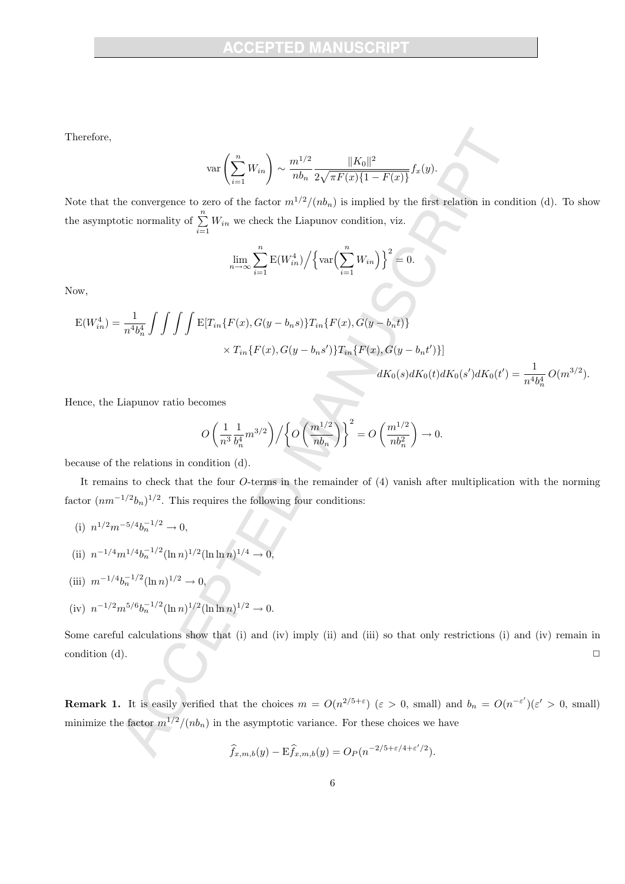## **CCEPTED MANUSCRIPT**

Therefore,

$$
\text{var}\left(\sum_{i=1}^n W_{in}\right) \sim \frac{m^{1/2}}{nb_n} \frac{\|K_0\|^2}{2\sqrt{\pi F(x)\{1-F(x)\}}} f_x(y).
$$

Note that the convergence to zero of the factor  $m^{1/2}/(nb_n)$  is implied by the first relation in condition (d). To show the asymptotic normality of  $\sum_{n=1}^{\infty}$  $\sum_{i=1}$   $W_{in}$  we check the Liapunov condition, viz.

$$
\lim_{n \to \infty} \sum_{i=1}^{n} \mathcal{E}(W_{in}^4) / \left\{ \text{var}\left(\sum_{i=1}^{n} W_{in}\right) \right\}^2 = 0.
$$

Now,

$$
E(W_{in}^{4}) = \frac{1}{n^{4}b_{n}^{4}} \int \int \int \int E[T_{in}\{F(x), G(y - b_{n}s)\}T_{in}\{F(x), G(y - b_{n}t)\}\times T_{in}\{F(x), G(y - b_{n}s')\}T_{in}\{F(x), G(y - b_{n}t')\}]
$$
  

$$
\times T_{in}\{F(x), G(y - b_{n}s')\}T_{in}\{F(x), G(y - b_{n}t')\}
$$
  

$$
dK_{0}(s)dK_{0}(t)dK_{0}(s')dK_{0}(t') = \frac{1}{n^{4}b_{n}^{4}} O(m^{3/2}).
$$

Hence, the Liapunov ratio becomes

$$
O\left(\frac{1}{n^3}\frac{1}{b_n^4}m^{3/2}\right) / \left\{O\left(\frac{m^{1/2}}{nb_n}\right)\right\}^2 = O\left(\frac{m^{1/2}}{nb_n^2}\right) \to 0.
$$

because of the relations in condition (d).

It remains to check that the four O-terms in the remainder of (4) vanish after multiplication with the norming factor  $(nm^{-1/2}b_n)^{1/2}$ . This requires the following four conditions:

(i)  $n^{1/2}m^{-5/4}b_n^{-1/2} \to 0$ ,

(ii) 
$$
n^{-1/4}m^{1/4}b_n^{-1/2}(\ln n)^{1/2}(\ln \ln n)^{1/4} \to 0,
$$

(iii) 
$$
m^{-1/4}b_n^{-1/2}(\ln n)^{1/2} \to 0
$$
,

(iv) 
$$
n^{-1/2}m^{5/6}b_n^{-1/2}(\ln n)^{1/2}(\ln \ln n)^{1/2} \to 0.
$$

Some careful calculations show that (i) and (iv) imply (ii) and (iii) so that only restrictions (i) and (iv) remain in condition (d).  $\Box$ 

**Remark 1.** It is easily verified that the choices  $m = O(n^{2/5+\epsilon})$  ( $\varepsilon > 0$ , small) and  $b_n = O(n^{-\epsilon'}) (\varepsilon' > 0$ , small) minimize the factor  $m^{1/2}/(nb_n)$  in the asymptotic variance. For these choices we have

$$
\widehat{f}_{x,m,b}(y) - \mathbf{E}\widehat{f}_{x,m,b}(y) = O_P(n^{-2/5 + \varepsilon/4 + \varepsilon'/2}).
$$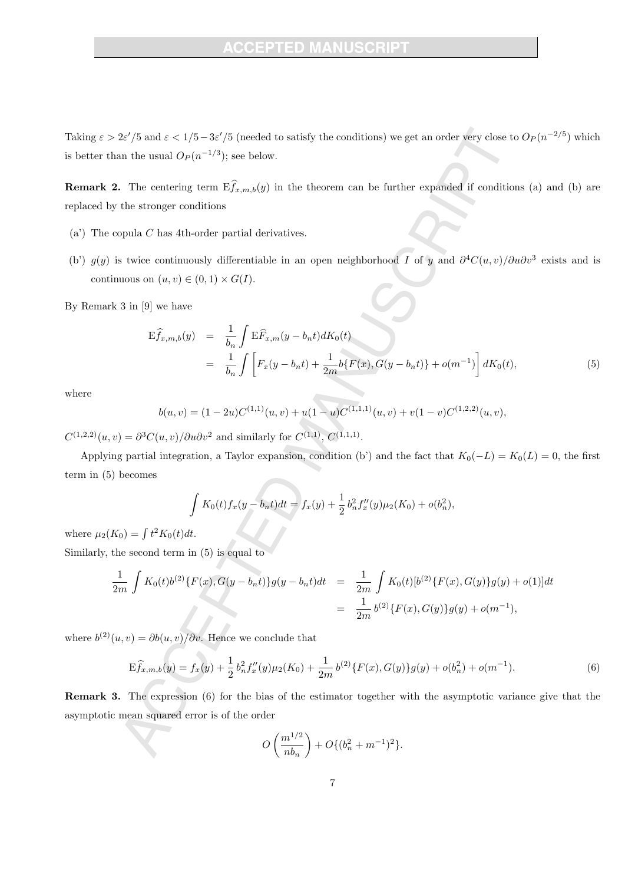Taking  $\varepsilon > 2\varepsilon'/5$  and  $\varepsilon < 1/5 - 3\varepsilon'/5$  (needed to satisfy the conditions) we get an order very close to  $O_P(n^{-2/5})$  which is better than the usual  $O_P(n^{-1/3})$ ; see below.

**Remark 2.** The centering term  $E\hat{f}_{x,m,b}(y)$  in the theorem can be further expanded if conditions (a) and (b) are replaced by the stronger conditions

- (a') The copula  $C$  has 4th-order partial derivatives.
- (b')  $g(y)$  is twice continuously differentiable in an open neighborhood I of y and  $\partial^4 C(u, v)/\partial u \partial v^3$  exists and is continuous on  $(u, v) \in (0, 1) \times G(I)$ .

By Remark 3 in [9] we have

$$
\begin{split} \mathbf{E} \widehat{f}_{x,m,b}(y) &= \frac{1}{b_n} \int \mathbf{E} \widehat{F}_{x,m}(y - b_n t) dK_0(t) \\ &= \frac{1}{b_n} \int \left[ F_x(y - b_n t) + \frac{1}{2m} b \{ F(x), G(y - b_n t) \} + o(m^{-1}) \right] dK_0(t), \end{split} \tag{5}
$$

where

$$
b(u,v) = (1-2u)C^{(1,1)}(u,v) + u(1-u)C^{(1,1,1)}(u,v) + v(1-v)C^{(1,2,2)}(u,v),
$$

 $C^{(1,2,2)}(u,v) = \partial^3 C(u,v)/\partial u \partial v^2$  and similarly for  $C^{(1,1)}$ ,  $C^{(1,1,1)}$ .

Applying partial integration, a Taylor expansion, condition (b') and the fact that  $K_0(-L) = K_0(L) = 0$ , the first term in (5) becomes

$$
\int K_0(t) f_x(y - b_n t) dt = f_x(y) + \frac{1}{2} b_n^2 f''_x(y) \mu_2(K_0) + o(b_n^2),
$$

where  $\mu_2(K_0) = \int t^2 K_0(t) dt$ .

Similarly, the second term in (5) is equal to

$$
\frac{1}{2m} \int K_0(t)b^{(2)} \{F(x), G(y-b_n t)\} g(y-b_n t) dt = \frac{1}{2m} \int K_0(t)[b^{(2)} \{F(x), G(y)\} g(y) + o(1)] dt
$$
  

$$
= \frac{1}{2m} b^{(2)} \{F(x), G(y)\} g(y) + o(m^{-1}),
$$

where  $b^{(2)}(u, v) = \partial b(u, v) / \partial v$ . Hence we conclude that

$$
\mathbf{E}\widehat{f}_{x,m,b}(y) = f_x(y) + \frac{1}{2}b_n^2 f''_x(y)\mu_2(K_0) + \frac{1}{2m}b^{(2)}\{F(x),G(y)\}g(y) + o(b_n^2) + o(m^{-1}).\tag{6}
$$

Remark 3. The expression (6) for the bias of the estimator together with the asymptotic variance give that the asymptotic mean squared error is of the order

$$
O\left(\frac{m^{1/2}}{nb_n}\right) + O\{(b_n^2 + m^{-1})^2\}.
$$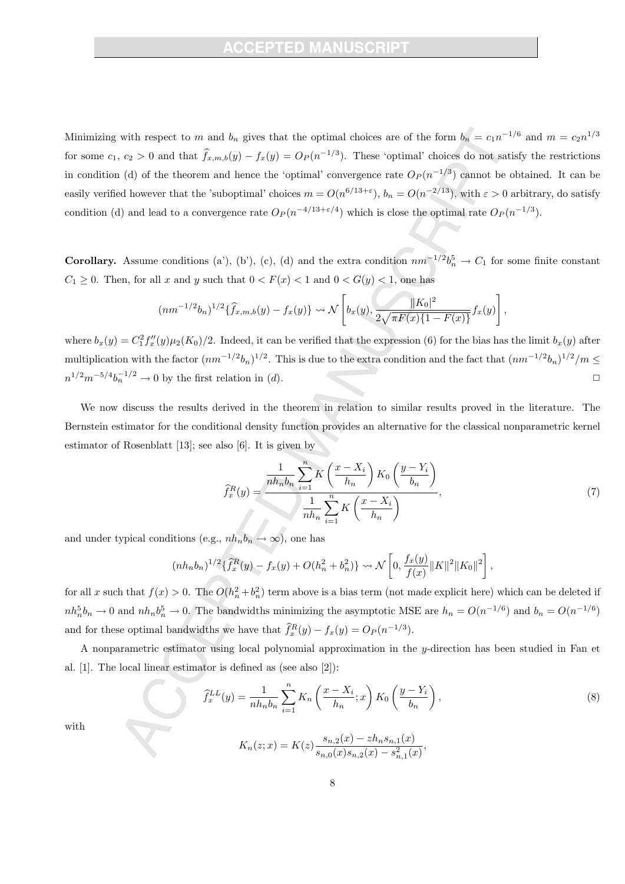Minimizing with respect to m and  $b_n$  gives that the optimal choices are of the form  $b_n = c_1 n^{-1/6}$  and  $m = c_2 n^{1/3}$ for some  $c_1, c_2 > 0$  and that  $\hat{f}_{x,m,b}(y) - f_x(y) = O_P(n^{-1/3})$ . These 'optimal' choices do not satisfy the restrictions in condition (d) of the theorem and hence the 'optimal' convergence rate  $O_P(n^{-1/3})$  cannot be obtained. It can be easily verified however that the 'suboptimal' choices  $m = O(n^{6/13+\epsilon})$ ,  $b_n = O(n^{-2/13})$ , with  $\epsilon > 0$  arbitrary, do satisfy condition (d) and lead to a convergence rate  $O_P(n^{-4/13+\epsilon/4})$  which is close the optimal rate  $O_P(n^{-1/3})$ .

**Corollary.** Assume conditions (a'), (b'), (c), (d) and the extra condition  $nm^{-1/2}b_n^5 \to C_1$  for some finite constant  $C_1 \geq 0$ . Then, for all x and y such that  $0 < F(x) < 1$  and  $0 < G(y) < 1$ , one has

$$
(nm^{-1/2}b_n)^{1/2}\{\hat{f}_{x,m,b}(y) - f_x(y)\} \rightsquigarrow \mathcal{N}\left[b_x(y), \frac{\|K_0|^2}{2\sqrt{\pi F(x)\{1 - F(x)\}}}f_x(y)\right],
$$

where  $b_x(y) = C_1^2 f''_x(y) \mu_2(K_0)/2$ . Indeed, it can be verified that the expression (6) for the bias has the limit  $b_x(y)$  after multiplication with the factor  $(nm^{-1/2}b_n)^{1/2}$ . This is due to the extra condition and the fact that  $(nm^{-1/2}b_n)^{1/2}/m \le$  $n^{1/2}m^{-5/4}b_n^{-1/2} \to 0$  by the first relation in (d).

We now discuss the results derived in the theorem in relation to similar results proved in the literature. The Bernstein estimator for the conditional density function provides an alternative for the classical nonparametric kernel estimator of Rosenblatt [13]; see also [6]. It is given by

$$
\widehat{f}_x^R(y) = \frac{\frac{1}{nh_n b_n} \sum_{i=1}^n K\left(\frac{x - X_i}{h_n}\right) K_0\left(\frac{y - Y_i}{b_n}\right)}{\frac{1}{nh_n} \sum_{i=1}^n K\left(\frac{x - X_i}{h_n}\right)},\tag{7}
$$

and under typical conditions (e.g.,  $nh_nb_n \rightarrow \infty$ ), one has

$$
(nh_nb_n)^{1/2}\{\widehat{f}_x^R(y) - f_x(y) + O(h_n^2 + b_n^2)\} \rightsquigarrow \mathcal{N}\left[0, \frac{f_x(y)}{f(x)}\|K\|^2\|K_0\|^2\right],
$$

for all x such that  $f(x) > 0$ . The  $O(h_n^2 + h_n^2)$  term above is a bias term (not made explicit here) which can be deleted if  $nh_n^5b_n \to 0$  and  $nh_nb_n^5 \to 0$ . The bandwidths minimizing the asymptotic MSE are  $h_n = O(n^{-1/6})$  and  $b_n = O(n^{-1/6})$ and for these optimal bandwidths we have that  $\hat{f}_x^R(y) - f_x(y) = O_P(n^{-1/3})$ .

A nonparametric estimator using local polynomial approximation in the y-direction has been studied in Fan et al. [1]. The local linear estimator is defined as (see also [2]):

$$
\widehat{f}_x^{LL}(y) = \frac{1}{nh_n b_n} \sum_{i=1}^n K_n \left( \frac{x - X_i}{h_n}; x \right) K_0 \left( \frac{y - Y_i}{b_n} \right),\tag{8}
$$

,

with

$$
K_n(z;x)=K(z)\frac{s_{n,2}(x)-zh_ns_{n,1}(x)}{s_{n,0}(x)s_{n,2}(x)-s^2_{n,1}(x)}
$$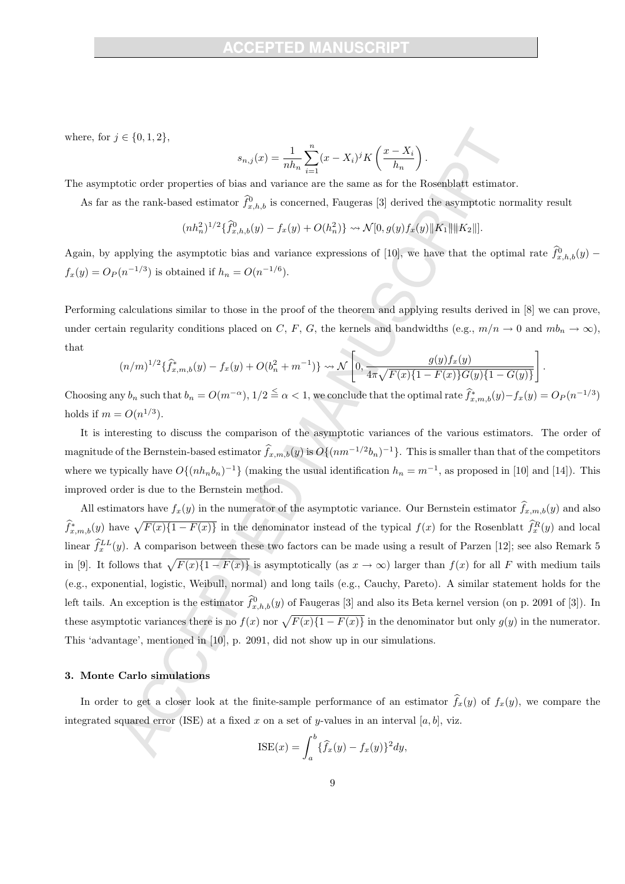where, for  $j \in \{0, 1, 2\},\$ 

$$
s_{n,j}(x) = \frac{1}{nh_n} \sum_{i=1}^{n} (x - X_i)^j K\left(\frac{x - X_i}{h_n}\right).
$$

The asymptotic order properties of bias and variance are the same as for the Rosenblatt estimator.

As far as the rank-based estimator  $\hat{f}_{x,h,b}^0$  is concerned, Faugeras [3] derived the asymptotic normality result

$$
(nh_n^2)^{1/2}\{\widehat{f}_{x,h,b}^0(y) - f_x(y) + O(h_n^2)\} \rightsquigarrow \mathcal{N}[0, g(y)f_x(y)||K_1||||K_2||].
$$

Again, by applying the asymptotic bias and variance expressions of [10], we have that the optimal rate  $\hat{f}_{x,h,b}^0(y)$  –  $f_x(y) = O_P(n^{-1/3})$  is obtained if  $h_n = O(n^{-1/6})$ .

Performing calculations similar to those in the proof of the theorem and applying results derived in [8] we can prove, under certain regularity conditions placed on C, F, G, the kernels and bandwidths (e.g.,  $m/n \to 0$  and  $mb_n \to \infty$ ), that  $\sqrt{ }$  $\overline{1}$ 

$$
(n/m)^{1/2}\{\hat{f}_{x,m,b}^*(y) - f_x(y) + O(b_n^2 + m^{-1})\} \rightsquigarrow \mathcal{N}\left[0, \frac{g(y)f_x(y)}{4\pi\sqrt{F(x)\{1 - F(x)\}G(y)\{1 - G(y)\}}}\right].
$$

Choosing any  $b_n$  such that  $b_n = O(m^{-\alpha})$ ,  $1/2 \leq \alpha < 1$ , we conclude that the optimal rate  $\hat{f}_{x,m,b}^*(y) - f_x(y) = O_P(n^{-1/3})$ holds if  $m = O(n^{1/3})$ .

It is interesting to discuss the comparison of the asymptotic variances of the various estimators. The order of magnitude of the Bernstein-based estimator  $\hat{f}_{x,m,b}(y)$  is  $O\{(nm^{-1/2}b_n)^{-1}\}$ . This is smaller than that of the competitors where we typically have  $O\{(nh_nb_n)^{-1}\}$  (making the usual identification  $h_n = m^{-1}$ , as proposed in [10] and [14]). This improved order is due to the Bernstein method.

All estimators have  $f_x(y)$  in the numerator of the asymptotic variance. Our Bernstein estimator  $\hat{f}_{x,m,b}(y)$  and also  $\widehat{f}_{x,m,b}^*(y)$  have  $\sqrt{F(x)\{1-F(x)\}}$  in the denominator instead of the typical  $f(x)$  for the Rosenblatt  $\widehat{f}_x^R(y)$  and local linear  $\hat{f}_x^{LL}(y)$ . A comparison between these two factors can be made using a result of Parzen [12]; see also Remark 5 in [9]. It follows that  $\sqrt{F(x)\{1 - F(x)\}}$  is asymptotically (as  $x \to \infty$ ) larger than  $f(x)$  for all F with medium tails (e.g., exponential, logistic, Weibull, normal) and long tails (e.g., Cauchy, Pareto). A similar statement holds for the left tails. An exception is the estimator  $f_{x,h,b}^0(y)$  of Faugeras [3] and also its Beta kernel version (on p. 2091 of [3]). In these asymptotic variances there is no  $f(x)$  nor  $\sqrt{F(x)\{1 - F(x)\}}$  in the denominator but only  $g(y)$  in the numerator. This 'advantage', mentioned in [10], p. 2091, did not show up in our simulations.

### 3. Monte Carlo simulations

In order to get a closer look at the finite-sample performance of an estimator  $\hat{f}_x(y)$  of  $f_x(y)$ , we compare the integrated squared error (ISE) at a fixed x on a set of y-values in an interval  $[a, b]$ , viz.

$$
ISE(x) = \int_a^b \{\hat{f}_x(y) - f_x(y)\}^2 dy,
$$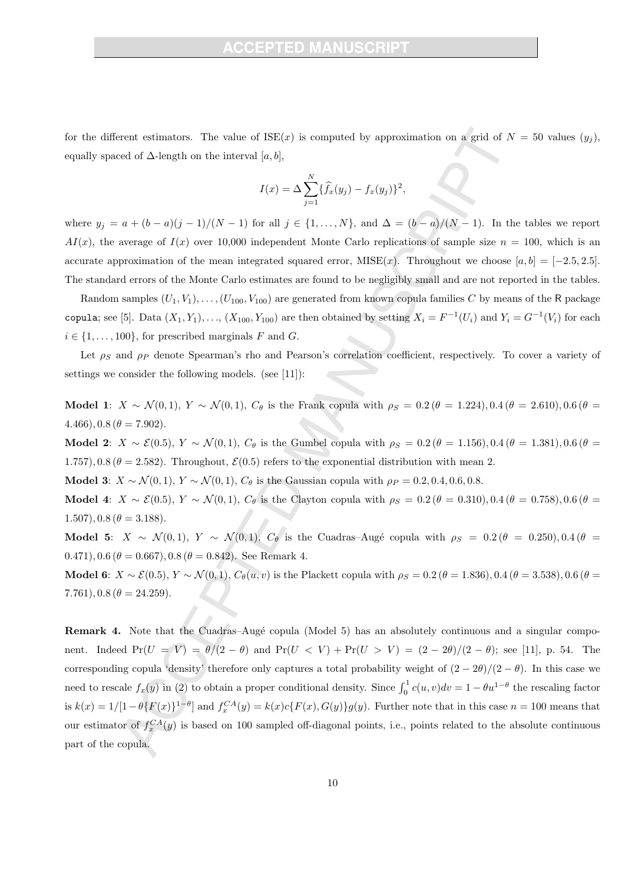## CCEPTED MANHSCRI

for the different estimators. The value of  $ISE(x)$  is computed by approximation on a grid of  $N = 50$  values  $(y_i)$ , equally spaced of  $\Delta$ -length on the interval [a, b],

$$
I(x) = \Delta \sum_{j=1}^{N} {\hat{f}_x(y_j) - f_x(y_j)}^2,
$$

where  $y_j = a + (b - a)(j - 1)/(N - 1)$  for all  $j \in \{1, ..., N\}$ , and  $\Delta = (b - a)/(N - 1)$ . In the tables we report  $AI(x)$ , the average of  $I(x)$  over 10,000 independent Monte Carlo replications of sample size  $n = 100$ , which is an accurate approximation of the mean integrated squared error, MISE(x). Throughout we choose [a, b] = [-2.5, 2.5]. The standard errors of the Monte Carlo estimates are found to be negligibly small and are not reported in the tables.

Random samples  $(U_1, V_1), \ldots, (U_{100}, V_{100})$  are generated from known copula families C by means of the R package copula; see [5]. Data  $(X_1, Y_1), \ldots, (X_{100}, Y_{100})$  are then obtained by setting  $X_i = F^{-1}(U_i)$  and  $Y_i = G^{-1}(V_i)$  for each  $i \in \{1, \ldots, 100\}$ , for prescribed marginals F and G.

Let  $\rho_S$  and  $\rho_P$  denote Spearman's rho and Pearson's correlation coefficient, respectively. To cover a variety of settings we consider the following models. (see [11]):

Model 1:  $X \sim \mathcal{N}(0, 1), Y \sim \mathcal{N}(0, 1), C_{\theta}$  is the Frank copula with  $\rho_S = 0.2 (\theta = 1.224), 0.4 (\theta = 2.610), 0.6 (\theta = 1.224)$  $4.466$ ),  $0.8$  ( $\theta = 7.902$ ).

Model 2:  $X \sim \mathcal{E}(0.5)$ ,  $Y \sim \mathcal{N}(0, 1)$ ,  $C_{\theta}$  is the Gumbel copula with  $\rho_S = 0.2$  ( $\theta = 1.156$ ), 0.4 ( $\theta = 1.381$ ), 0.6 ( $\theta =$ 1.757), 0.8 ( $\theta = 2.582$ ). Throughout,  $\mathcal{E}(0.5)$  refers to the exponential distribution with mean 2.

Model 3:  $X \sim \mathcal{N}(0, 1), Y \sim \mathcal{N}(0, 1), C_\theta$  is the Gaussian copula with  $\rho_P = 0.2, 0.4, 0.6, 0.8$ .

Model 4:  $X \sim \mathcal{E}(0.5)$ ,  $Y \sim \mathcal{N}(0, 1)$ ,  $C_{\theta}$  is the Clayton copula with  $\rho_S = 0.2$  ( $\theta = 0.310$ ), 0.4 ( $\theta = 0.758$ ), 0.6 ( $\theta =$  $1.507$ ),  $0.8$  ( $\theta = 3.188$ ).

Model 5:  $X \sim \mathcal{N}(0, 1), Y \sim \mathcal{N}(0, 1), C_{\theta}$  is the Cuadras–Augé copula with  $\rho_S = 0.2 (\theta = 0.250), 0.4 (\theta = 0.250)$  $(0.471), 0.6$   $(\theta = 0.667), 0.8$   $(\theta = 0.842)$ . See Remark 4.

Model 6:  $X \sim \mathcal{E}(0.5)$ ,  $Y \sim \mathcal{N}(0, 1)$ ,  $C_{\theta}(u, v)$  is the Plackett copula with  $\rho_S = 0.2$  ( $\theta = 1.836$ ), 0.4 ( $\theta = 3.538$ ), 0.6 ( $\theta =$ 7.761),  $0.8$  ( $\theta = 24.259$ ).

Remark 4. Note that the Cuadras–Augé copula (Model 5) has an absolutely continuous and a singular component. Indeed  $Pr(U = V) = \theta/(2 - \theta)$  and  $Pr(U < V) + Pr(U > V) = (2 - 2\theta)/(2 - \theta)$ ; see [11], p. 54. The corresponding copula 'density' therefore only captures a total probability weight of  $(2 - 2\theta)/(2 - \theta)$ . In this case we need to rescale  $f_x(y)$  in (2) to obtain a proper conditional density. Since  $\int_0^1 c(u, v) dv = 1 - \theta u^{1-\theta}$  the rescaling factor is  $k(x) = 1/[1 - \theta \{F(x)\}^{1-\theta}]$  and  $f_x^{CA}(y) = k(x)c\{F(x), G(y)\}g(y)$ . Further note that in this case  $n = 100$  means that our estimator of  $f_x^{CA}(y)$  is based on 100 sampled off-diagonal points, i.e., points related to the absolute continuous part of the copula.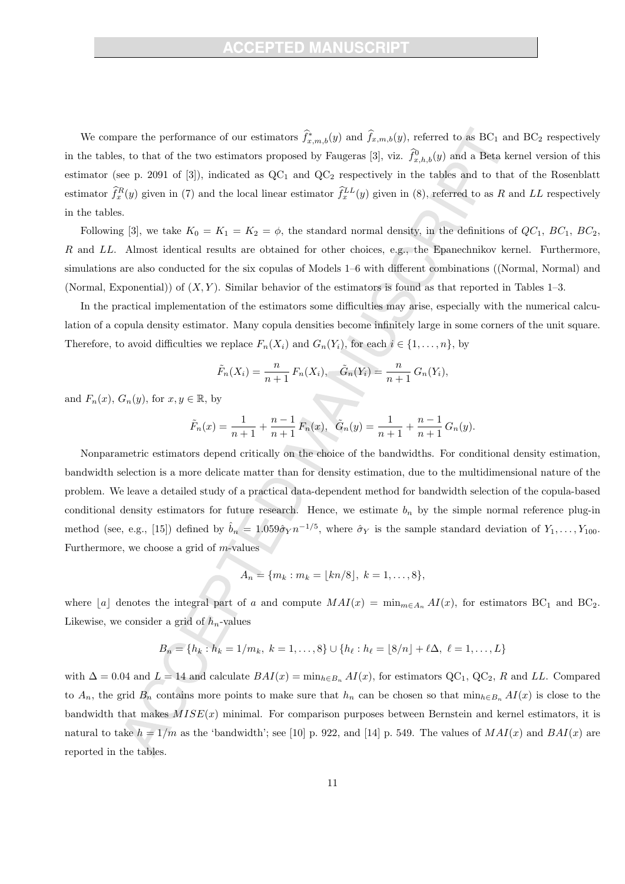We compare the performance of our estimators  $f_{x,m,b}(y)$  and  $f_{x,m,b}(y)$ , referred to as BC<sub>1</sub> and BC<sub>2</sub> respectively in the tables, to that of the two estimators proposed by Faugeras [3], viz.  $\hat{f}_{x,h,b}^0(y)$  and a Beta kernel version of this estimator (see p. 2091 of [3]), indicated as  $QC_1$  and  $QC_2$  respectively in the tables and to that of the Rosenblatt estimator  $\hat{f}_x^R(y)$  given in (7) and the local linear estimator  $\hat{f}_x^L(y)$  given in (8), referred to as R and LL respectively in the tables.

Following [3], we take  $K_0 = K_1 = K_2 = \phi$ , the standard normal density, in the definitions of  $QC_1$ ,  $BC_1$ ,  $BC_2$ , R and LL. Almost identical results are obtained for other choices, e.g., the Epanechnikov kernel. Furthermore, simulations are also conducted for the six copulas of Models 1–6 with different combinations ((Normal, Normal) and (Normal, Exponential)) of  $(X, Y)$ . Similar behavior of the estimators is found as that reported in Tables 1–3.

In the practical implementation of the estimators some difficulties may arise, especially with the numerical calculation of a copula density estimator. Many copula densities become infinitely large in some corners of the unit square. Therefore, to avoid difficulties we replace  $F_n(X_i)$  and  $G_n(Y_i)$ , for each  $i \in \{1, \ldots, n\}$ , by

$$
\tilde{F}_n(X_i) = \frac{n}{n+1} F_n(X_i), \quad \tilde{G}_n(Y_i) = \frac{n}{n+1} G_n(Y_i),
$$

and  $F_n(x)$ ,  $G_n(y)$ , for  $x, y \in \mathbb{R}$ , by

$$
\tilde{F}_n(x) = \frac{1}{n+1} + \frac{n-1}{n+1} F_n(x), \quad \tilde{G}_n(y) = \frac{1}{n+1} + \frac{n-1}{n+1} G_n(y).
$$

Nonparametric estimators depend critically on the choice of the bandwidths. For conditional density estimation, bandwidth selection is a more delicate matter than for density estimation, due to the multidimensional nature of the problem. We leave a detailed study of a practical data-dependent method for bandwidth selection of the copula-based conditional density estimators for future research. Hence, we estimate  $b_n$  by the simple normal reference plug-in method (see, e.g., [15]) defined by  $\hat{b}_n = 1.059 \hat{\sigma}_Y n^{-1/5}$ , where  $\hat{\sigma}_Y$  is the sample standard deviation of  $Y_1, \ldots, Y_{100}$ . Furthermore, we choose a grid of  $m$ -values

$$
A_n = \{m_k : m_k = \lfloor kn/8 \rfloor, \ k = 1, \ldots, 8 \},\
$$

where |a| denotes the integral part of a and compute  $MAI(x) = \min_{m \in A_n} AI(x)$ , for estimators BC<sub>1</sub> and BC<sub>2</sub>. Likewise, we consider a grid of  $h_n$ -values

$$
B_n = \{h_k : h_k = 1/m_k, \ k = 1, \ldots, 8\} \cup \{h_\ell : h_\ell = \lfloor 8/n \rfloor + \ell \Delta, \ \ell = 1, \ldots, L\}
$$

with  $\Delta = 0.04$  and  $L = 14$  and calculate  $BAI(x) = \min_{h \in B_n} AI(x)$ , for estimators QC<sub>1</sub>, QC<sub>2</sub>, R and LL. Compared to  $A_n$ , the grid  $B_n$  contains more points to make sure that  $h_n$  can be chosen so that  $\min_{h\in B_n} AI(x)$  is close to the bandwidth that makes  $MISE(x)$  minimal. For comparison purposes between Bernstein and kernel estimators, it is natural to take  $h = 1/m$  as the 'bandwidth'; see [10] p. 922, and [14] p. 549. The values of  $MAI(x)$  and  $BAI(x)$  are reported in the tables.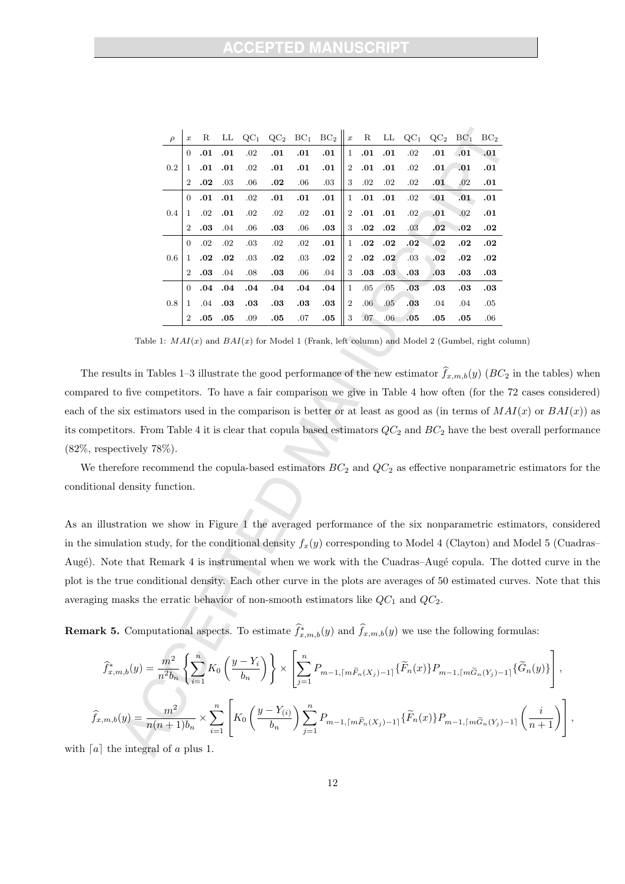| $\rho$ | $\boldsymbol{x}$            | R   | LL  | $\rm QC_{1}$ |     | $QC_2$ BC <sub>1</sub> | BC <sub>2</sub> | $\boldsymbol{x}$ | $R_{\parallel}$ | $_{\rm LL}$ | $QC_1$ | OC <sub>2</sub> | BC <sub>1</sub> | BC <sub>2</sub> |
|--------|-----------------------------|-----|-----|--------------|-----|------------------------|-----------------|------------------|-----------------|-------------|--------|-----------------|-----------------|-----------------|
|        | $\theta$                    | .01 | .01 | .02          | .01 | .01                    | .01             | $\mathbf{1}$     | .01             | .01         | .02    | .01             | .01             | .01             |
| 0.2    | 1                           | .01 | .01 | .02          | .01 | .01                    | .01             | $\overline{2}$   | .01             | .01         | .02    | .01             | .01             | .01             |
|        | $\overline{2}$              | .02 | .03 | .06          | .02 | .06                    | .03             | 3                | .02             | .02         | .02    | .01             | .02             | .01             |
|        | $\overline{0}$              | .01 | .01 | .02          | .01 | .01                    | .01             | 1.               | .01             | .01         | .02    | .01             | $.01\,$         | .01             |
| 0.4    | 1                           | .02 | .01 | .02          | .02 | $.02\,$                | .01             | $\overline{2}$   | .01             | .01         | .02    | .01             | .02             | .01             |
|        | $\overline{2}$              | .03 | .04 | .06          | .03 | .06                    | .03             | 3                | $.02\,$         | .02         | .03    | .02             | .02             | .02             |
|        | $\theta$                    | .02 | .02 | .03          | .02 | .02                    | .01             | $\mathbf 1$      | $.02\,$         | .02         | .02    | .02             | .02             | .02             |
| 0.6    | $\mathbf 1$                 | .02 | .02 | .03          | .02 | .03                    | .02             | $\overline{2}$   | $.02\,$         | .02         | .03    | .02             | .02             | .02             |
|        | $\mathcal{D}_{\mathcal{L}}$ | .03 | .04 | .08          | .03 | .06                    | .04             | 3                | .03             | .03         | .03    | .03             | .03             | .03             |
|        | $\Omega$                    | .04 | .04 | .04          | .04 | .04                    | .04             | $\mathbf{1}$     | .05             | .05         | .03    | .03             | .03             | .03             |
| 0.8    | $\mathbf{1}$                | .04 | .03 | .03          | .03 | .03                    | .03             | $\overline{2}$   | .06             | .05         | .03    | .04             | .04             | .05             |
|        | $\overline{2}$              | .05 | .05 | .09          | .05 | .07                    | .05             | 3                | .07             | .06         | .05    | .05             | .05             | .06             |

Table 1:  $MAI(x)$  and  $BAI(x)$  for Model 1 (Frank, left column) and Model 2 (Gumbel, right column)

The results in Tables 1–3 illustrate the good performance of the new estimator  $\hat{f}_{x,m,b}(y)$  ( $BC_2$  in the tables) when compared to five competitors. To have a fair comparison we give in Table 4 how often (for the 72 cases considered) each of the six estimators used in the comparison is better or at least as good as (in terms of  $MAI(x)$  or  $BAI(x)$ ) as its competitors. From Table 4 it is clear that copula based estimators  $QC_2$  and  $BC_2$  have the best overall performance  $(82\%,$  respectively  $78\%).$ 

We therefore recommend the copula-based estimators  $BC_2$  and  $QC_2$  as effective nonparametric estimators for the conditional density function.

As an illustration we show in Figure 1 the averaged performance of the six nonparametric estimators, considered in the simulation study, for the conditional density  $f_x(y)$  corresponding to Model 4 (Clayton) and Model 5 (Cuadras– Augé). Note that Remark 4 is instrumental when we work with the Cuadras–Augé copula. The dotted curve in the plot is the true conditional density. Each other curve in the plots are averages of 50 estimated curves. Note that this averaging masks the erratic behavior of non-smooth estimators like  $QC_1$  and  $QC_2$ .

**Remark 5.** Computational aspects. To estimate  $f_{x,m,b}^*(y)$  and  $f_{x,m,b}(y)$  we use the following formulas:

$$
\widehat{f}_{x,m,b}^{*}(y) = \frac{m^2}{n^2 b_n} \left\{ \sum_{i=1}^n K_0 \left( \frac{y - Y_i}{b_n} \right) \right\} \times \left[ \sum_{j=1}^n P_{m-1,\lceil m \widetilde{F}_n(X_j) - 1 \rceil} \{ \widetilde{F}_n(x) \} P_{m-1,\lceil m \widetilde{G}_n(Y_j) - 1 \rceil} \{ \widetilde{G}_n(y) \} \right],
$$
\n
$$
\widehat{f}_{x,m,b}(y) = \frac{m^2}{n(n+1)b_n} \times \sum_{i=1}^n \left[ K_0 \left( \frac{y - Y_{(i)}}{b_n} \right) \sum_{j=1}^n P_{m-1,\lceil m \widetilde{F}_n(X_j) - 1 \rceil} \{ \widetilde{F}_n(x) \} P_{m-1,\lceil m \widetilde{G}_n(Y_j) - 1 \rceil} \left( \frac{i}{n+1} \right) \right],
$$

with  $[a]$  the integral of a plus 1.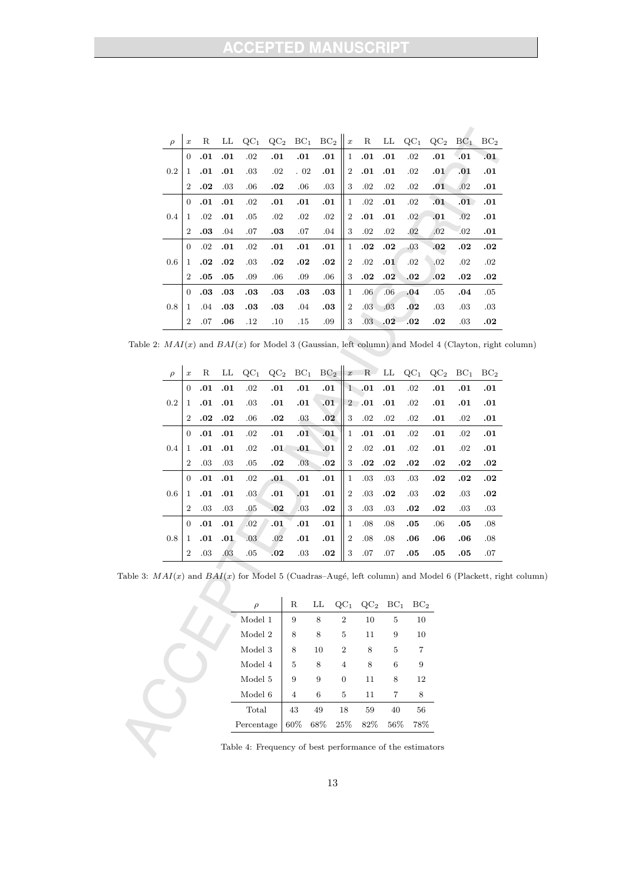| $\rho$ | $\boldsymbol{x}$ | R       | LL  | $QC_1$ |     | $QC_2$ BC <sub>1</sub> | BC <sub>2</sub> | $\boldsymbol{x}$ | $R_{\parallel}$ | LL  | $QC_1$  | $QC_2$ | $BC_1$ $BC_2$ |     |
|--------|------------------|---------|-----|--------|-----|------------------------|-----------------|------------------|-----------------|-----|---------|--------|---------------|-----|
|        | $\theta$         | .01     | .01 | .02    | .01 | .01                    | .01             | $\mathbf{1}$     | .01             | .01 | .02     | .01    | .01           | .01 |
| 0.2    | $\mathbf 1$      | .01     | .01 | .03    | .02 | .02                    | .01             | $\overline{2}$   | .01             | .01 | .02     | .01    | .01           | .01 |
|        | $\overline{2}$   | .02     | .03 | .06    | .02 | .06                    | .03             | 3                | .02             | .02 | .02     | .01    | .02           | .01 |
|        | $\bf{0}$         | .01     | .01 | .02    | .01 | .01                    | .01             | 1                | .02             | .01 | .02     | .01    | $.01\,$       | .01 |
| 0.4    | $\mathbf{1}$     | .02     | .01 | .05    | .02 | .02                    | .02             | $\overline{2}$   | .01             | .01 | .02     | .01    | .02           | .01 |
|        | $\overline{2}$   | $.03\,$ | .04 | .07    | .03 | .07                    | .04             | 3                | $.02\,$         | .02 | .02     | .02    | .02           | .01 |
|        | $\overline{0}$   | .02     | .01 | .02    | .01 | .01                    | .01             | $\mathbf{1}$     | $.02\,$         | .02 | .03     | .02    | .02           | .02 |
| 0.6    | $\mathbf{1}$     | $.02\,$ | .02 | .03    | .02 | .02                    | .02             | $\overline{2}$   | .02             | .01 | .02     | .02    | .02           | .02 |
|        | $\overline{2}$   | .05     | .05 | .09    | .06 | .09                    | .06             | 3                | .02             | .02 | $.02\,$ | .02    | .02           | .02 |
|        | $\Omega$         | .03     | .03 | .03    | .03 | .03                    | .03             | $\mathbf{1}$     | .06             | .06 | .04     | .05    | .04           | .05 |
| 0.8    | $\mathbf{1}$     | .04     | .03 | .03    | .03 | .04                    | .03             | $\overline{2}$   | .03             | .03 | .02     | .03    | .03           | .03 |
|        | $\overline{2}$   | .07     | .06 | .12    | .10 | .15                    | .09             | 3                | .03             | .02 | .02     | .02    | .03           | .02 |

Table 2:  $MAI(x)$  and  $BAI(x)$  for Model 3 (Gaussian, left column) and Model 4 (Clayton, right column)

| BC <sub>2</sub><br>BC <sub>1</sub><br>$QC_2$<br>R<br>LL<br>$\rm QC_1$<br>$\boldsymbol{x}$<br>$\boldsymbol{x}$<br>$\rho$ | $R_{-}$   | LL<br>$QC_1$ | $QC_2$  | BC <sub>1</sub> | BC <sub>2</sub> |
|-------------------------------------------------------------------------------------------------------------------------|-----------|--------------|---------|-----------------|-----------------|
| .02<br>.01<br>.01<br>.01<br>.01<br>.01<br>$\mathbf{1}$<br>$\overline{0}$                                                | .01       | .01<br>.02   | .01     | .01             | .01             |
| 0.2<br>.03<br>.01<br>.01<br>1<br>.01<br>.01<br>.01                                                                      | $2 - .01$ | .01<br>.02   | .01     | .01             | .01             |
| $\overline{2}$<br>.02<br>.06<br>.02<br>.03<br>.02<br>3<br>.02                                                           | .02       | .02<br>.02   | .01     | .02             | .01             |
| .02<br>.01<br>.01<br>.01<br>.01<br>.01<br>$\overline{0}$<br>$\mathbf{1}$                                                | .01       | .02<br>.01   | .01     | .02             | .01             |
| 0.4<br>.01<br>$\overline{2}$<br>$\mathbf{1}$<br>.02<br>.01<br>.01<br>.01<br>.01                                         | .02       | .02<br>.01   | .01     | .02             | .01             |
| $\overline{2}$<br>.05<br>.02<br>.03<br>.02<br>3<br>$.03\,$<br>.03                                                       | .02       | .02<br>.02   | $.02\,$ | .02             | .02             |
| .01<br>.02<br>.01<br>.01<br>.01<br>.01<br>$\mathbf{1}$<br>$\Omega$                                                      | .03       | .03<br>.03   | .02     | .02             | .02             |
| $\overline{2}$<br>0.6<br>1<br>.01<br>.01<br>.01<br>.01<br>.03<br>.01                                                    | .03       | .02<br>.03   | .02     | .03             | .02             |
| 3<br>$\overline{2}$<br>.03<br>.05<br>.02<br>.03<br>.02<br>.03                                                           | .03       | .03<br>.02   | .02     | .03             | .03             |
| .01<br>.02<br>.01<br>.01<br>.01<br>.01<br>1<br>$\overline{0}$                                                           | .08       | .08<br>.05   | .06     | .05             | .08             |
| 0.8<br>$\overline{2}$<br>1<br>.03<br>.02<br>.01<br>.01<br>.01<br>.01                                                    | .08       | .08<br>.06   | .06     | .06             | .08             |
| $\overline{2}$<br>3<br>$.03\,$<br>.05<br>.02<br>.03<br>.02<br>.03                                                       | .07       | .07<br>.05   | .05     | .05             | .07             |

Table 3:  $MAI(x)$  and  $BAI(x)$  for Model 5 (Cuadras–Augé, left column) and Model 6 (Plackett, right column)

| $\rho$     | R   | LL   | $\rm QC_1$     | OC <sub>2</sub> | BC <sub>1</sub> | BC <sub>2</sub> |
|------------|-----|------|----------------|-----------------|-----------------|-----------------|
| Model 1    | 9   | 8    | $\overline{2}$ | 10              | 5               | 10              |
| Model 2    | 8   | 8    | 5              | 11              | 9               | 10              |
| Model 3    | 8   | 10   | 2              | 8               | 5               | 7               |
| Model 4    | 5   | 8    | 4              | 8               | 6               | 9               |
| Model 5    | 9   | 9    | $\Omega$       | 11              | 8               | 12              |
| Model 6    | 4   | 6    | 5              | 11              | 7               | 8               |
| Total      | 43  | 49   | 18             | 59              | 40              | 56              |
| Percentage | 60% | 68\% | 25\%           | 82%             | 56%             | 78%             |
|            |     |      |                |                 |                 |                 |

Table 4: Frequency of best performance of the estimators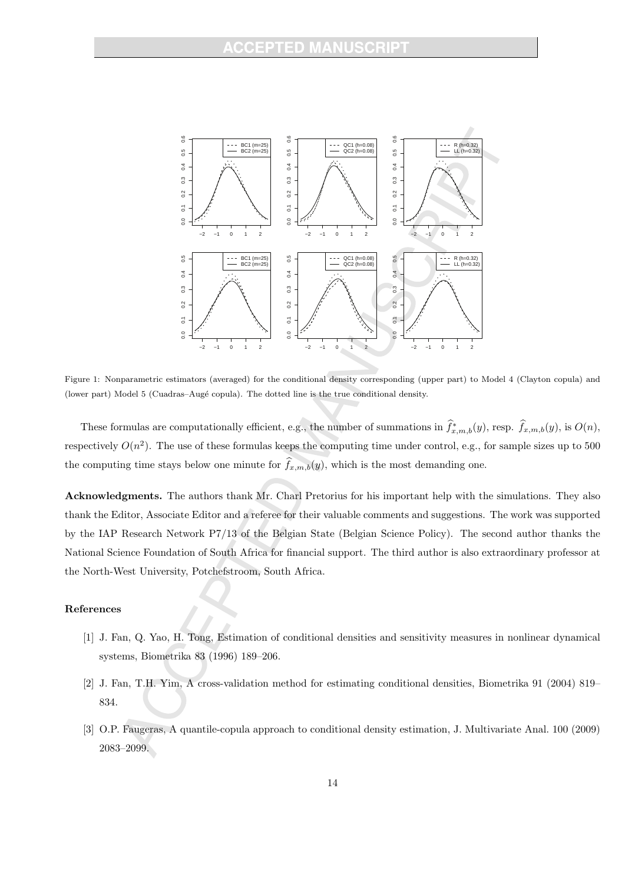

Figure 1: Nonparametric estimators (averaged) for the conditional density corresponding (upper part) to Model 4 (Clayton copula) and (lower part) Model 5 (Cuadras–Augé copula). The dotted line is the true conditional density.

These formulas are computationally efficient, e.g., the number of summations in  $f_{x,m,b}^*(y)$ , resp.  $f_{x,m,b}(y)$ , is  $O(n)$ , respectively  $O(n^2)$ . The use of these formulas keeps the computing time under control, e.g., for sample sizes up to 500 the computing time stays below one minute for  $\hat{f}_{x,m,b}(y)$ , which is the most demanding one.

Acknowledgments. The authors thank Mr. Charl Pretorius for his important help with the simulations. They also thank the Editor, Associate Editor and a referee for their valuable comments and suggestions. The work was supported by the IAP Research Network P7/13 of the Belgian State (Belgian Science Policy). The second author thanks the National Science Foundation of South Africa for financial support. The third author is also extraordinary professor at the North-West University, Potchefstroom, South Africa.

### References

- [1] J. Fan, Q. Yao, H. Tong, Estimation of conditional densities and sensitivity measures in nonlinear dynamical systems, Biometrika 83 (1996) 189–206.
- [2] J. Fan, T.H. Yim, A cross-validation method for estimating conditional densities, Biometrika 91 (2004) 819– 834.
- [3] O.P. Faugeras, A quantile-copula approach to conditional density estimation, J. Multivariate Anal. 100 (2009) 2083–2099.